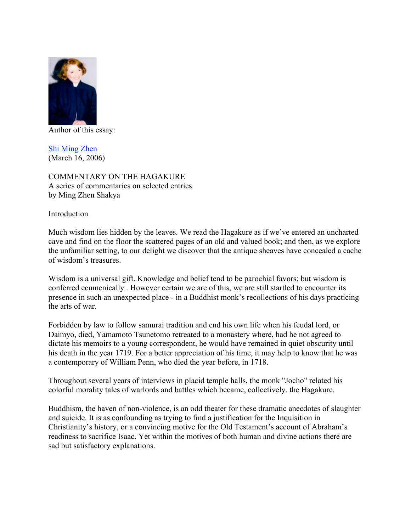

Author of this essay:

Shi Ming Zhen (March 16, 2006)

COMMENTARY ON THE HAGAKURE A series of commentaries on selected entries by Ming Zhen Shakya

Introduction

Much wisdom lies hidden by the leaves. We read the Hagakure as if we've entered an uncharted cave and find on the floor the scattered pages of an old and valued book; and then, as we explore the unfamiliar setting, to our delight we discover that the antique sheaves have concealed a cache of wisdom's treasures.

Wisdom is a universal gift. Knowledge and belief tend to be parochial favors; but wisdom is conferred ecumenically . However certain we are of this, we are still startled to encounter its presence in such an unexpected place - in a Buddhist monk's recollections of his days practicing the arts of war.

Forbidden by law to follow samurai tradition and end his own life when his feudal lord, or Daimyo, died, Yamamoto Tsunetomo retreated to a monastery where, had he not agreed to dictate his memoirs to a young correspondent, he would have remained in quiet obscurity until his death in the year 1719. For a better appreciation of his time, it may help to know that he was a contemporary of William Penn, who died the year before, in 1718.

Throughout several years of interviews in placid temple halls, the monk "Jocho" related his colorful morality tales of warlords and battles which became, collectively, the Hagakure.

Buddhism, the haven of non-violence, is an odd theater for these dramatic anecdotes of slaughter and suicide. It is as confounding as trying to find a justification for the Inquisition in Christianity's history, or a convincing motive for the Old Testament's account of Abraham's readiness to sacrifice Isaac. Yet within the motives of both human and divine actions there are sad but satisfactory explanations.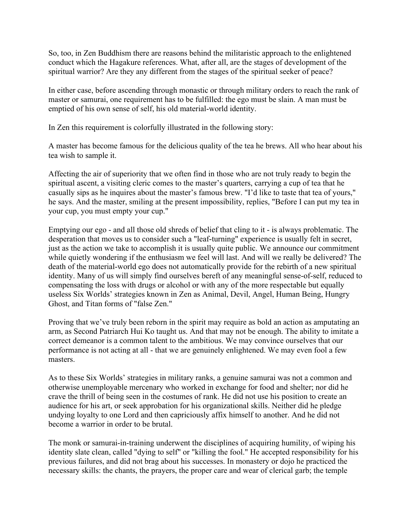So, too, in Zen Buddhism there are reasons behind the militaristic approach to the enlightened conduct which the Hagakure references. What, after all, are the stages of development of the spiritual warrior? Are they any different from the stages of the spiritual seeker of peace?

In either case, before ascending through monastic or through military orders to reach the rank of master or samurai, one requirement has to be fulfilled: the ego must be slain. A man must be emptied of his own sense of self, his old material-world identity.

In Zen this requirement is colorfully illustrated in the following story:

A master has become famous for the delicious quality of the tea he brews. All who hear about his tea wish to sample it.

Affecting the air of superiority that we often find in those who are not truly ready to begin the spiritual ascent, a visiting cleric comes to the master's quarters, carrying a cup of tea that he casually sips as he inquires about the master's famous brew. "I'd like to taste that tea of yours," he says. And the master, smiling at the present impossibility, replies, "Before I can put my tea in your cup, you must empty your cup."

Emptying our ego - and all those old shreds of belief that cling to it - is always problematic. The desperation that moves us to consider such a "leaf-turning" experience is usually felt in secret, just as the action we take to accomplish it is usually quite public. We announce our commitment while quietly wondering if the enthusiasm we feel will last. And will we really be delivered? The death of the material-world ego does not automatically provide for the rebirth of a new spiritual identity. Many of us will simply find ourselves bereft of any meaningful sense-of-self, reduced to compensating the loss with drugs or alcohol or with any of the more respectable but equally useless Six Worlds' strategies known in Zen as Animal, Devil, Angel, Human Being, Hungry Ghost, and Titan forms of "false Zen."

Proving that we've truly been reborn in the spirit may require as bold an action as amputating an arm, as Second Patriarch Hui Ko taught us. And that may not be enough. The ability to imitate a correct demeanor is a common talent to the ambitious. We may convince ourselves that our performance is not acting at all - that we are genuinely enlightened. We may even fool a few masters.

As to these Six Worlds' strategies in military ranks, a genuine samurai was not a common and otherwise unemployable mercenary who worked in exchange for food and shelter; nor did he crave the thrill of being seen in the costumes of rank. He did not use his position to create an audience for his art, or seek approbation for his organizational skills. Neither did he pledge undying loyalty to one Lord and then capriciously affix himself to another. And he did not become a warrior in order to be brutal.

The monk or samurai-in-training underwent the disciplines of acquiring humility, of wiping his identity slate clean, called "dying to self" or "killing the fool." He accepted responsibility for his previous failures, and did not brag about his successes. In monastery or dojo he practiced the necessary skills: the chants, the prayers, the proper care and wear of clerical garb; the temple